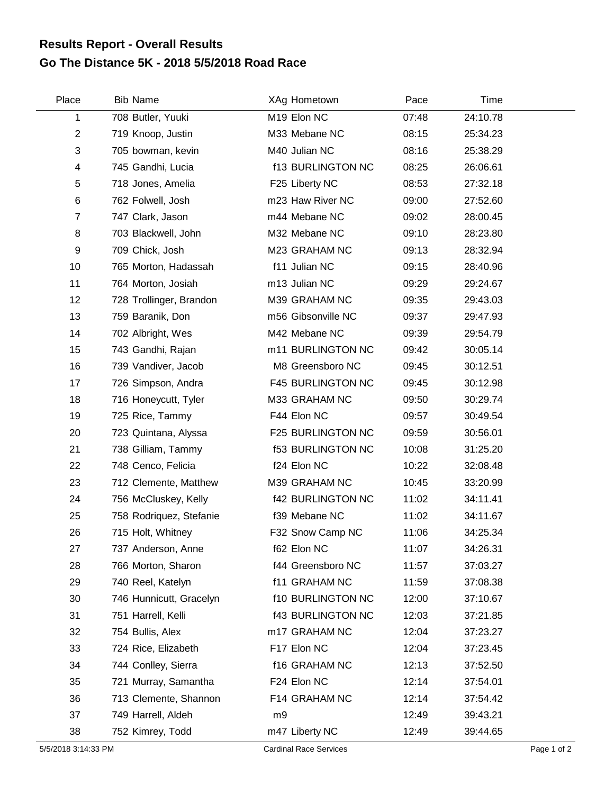## **Go The Distance 5K - 2018 5/5/2018 Road Race Results Report - Overall Results**

| Place            | <b>Bib Name</b>         | XAg Hometown             | Pace  | Time     |  |
|------------------|-------------------------|--------------------------|-------|----------|--|
| 1                | 708 Butler, Yuuki       | M19 Elon NC              | 07:48 | 24:10.78 |  |
| $\overline{2}$   | 719 Knoop, Justin       | M33 Mebane NC            | 08:15 | 25:34.23 |  |
| 3                | 705 bowman, kevin       | M40 Julian NC            | 08:16 | 25:38.29 |  |
| 4                | 745 Gandhi, Lucia       | <b>f13 BURLINGTON NC</b> | 08:25 | 26:06.61 |  |
| 5                | 718 Jones, Amelia       | F25 Liberty NC           | 08:53 | 27:32.18 |  |
| 6                | 762 Folwell, Josh       | m23 Haw River NC         | 09:00 | 27:52.60 |  |
| $\overline{7}$   | 747 Clark, Jason        | m44 Mebane NC            | 09:02 | 28:00.45 |  |
| 8                | 703 Blackwell, John     | M32 Mebane NC            | 09:10 | 28:23.80 |  |
| $\boldsymbol{9}$ | 709 Chick, Josh         | M23 GRAHAM NC            | 09:13 | 28:32.94 |  |
| 10               | 765 Morton, Hadassah    | f11 Julian NC            | 09:15 | 28:40.96 |  |
| 11               | 764 Morton, Josiah      | m13 Julian NC            | 09:29 | 29:24.67 |  |
| 12               | 728 Trollinger, Brandon | M39 GRAHAM NC            | 09:35 | 29:43.03 |  |
| 13               | 759 Baranik, Don        | m56 Gibsonville NC       | 09:37 | 29:47.93 |  |
| 14               | 702 Albright, Wes       | M42 Mebane NC            | 09:39 | 29:54.79 |  |
| 15               | 743 Gandhi, Rajan       | m11 BURLINGTON NC        | 09:42 | 30:05.14 |  |
| 16               | 739 Vandiver, Jacob     | M8 Greensboro NC         | 09:45 | 30:12.51 |  |
| 17               | 726 Simpson, Andra      | F45 BURLINGTON NC        | 09:45 | 30:12.98 |  |
| 18               | 716 Honeycutt, Tyler    | M33 GRAHAM NC            | 09:50 | 30:29.74 |  |
| 19               | 725 Rice, Tammy         | F44 Elon NC              | 09:57 | 30:49.54 |  |
| 20               | 723 Quintana, Alyssa    | F25 BURLINGTON NC        | 09:59 | 30:56.01 |  |
| 21               | 738 Gilliam, Tammy      | <b>f53 BURLINGTON NC</b> | 10:08 | 31:25.20 |  |
| 22               | 748 Cenco, Felicia      | f24 Elon NC              | 10:22 | 32:08.48 |  |
| 23               | 712 Clemente, Matthew   | M39 GRAHAM NC            | 10:45 | 33:20.99 |  |
| 24               | 756 McCluskey, Kelly    | <b>f42 BURLINGTON NC</b> | 11:02 | 34:11.41 |  |
| 25               | 758 Rodriquez, Stefanie | f39 Mebane NC            | 11:02 | 34:11.67 |  |
| 26               | 715 Holt, Whitney       | F32 Snow Camp NC         | 11:06 | 34:25.34 |  |
| 27               | 737 Anderson, Anne      | f62 Elon NC              | 11:07 | 34:26.31 |  |
| 28               | 766 Morton, Sharon      | f44 Greensboro NC        | 11:57 | 37:03.27 |  |
| 29               | 740 Reel, Katelyn       | f11 GRAHAM NC            | 11:59 | 37:08.38 |  |
| 30               | 746 Hunnicutt, Gracelyn | <b>f10 BURLINGTON NC</b> | 12:00 | 37:10.67 |  |
| 31               | 751 Harrell, Kelli      | <b>f43 BURLINGTON NC</b> | 12:03 | 37:21.85 |  |
| 32               | 754 Bullis, Alex        | m17 GRAHAM NC            | 12:04 | 37:23.27 |  |
| 33               | 724 Rice, Elizabeth     | F17 Elon NC              | 12:04 | 37:23.45 |  |
| 34               | 744 Conlley, Sierra     | f16 GRAHAM NC            | 12:13 | 37:52.50 |  |
| 35               | 721 Murray, Samantha    | F24 Elon NC              | 12:14 | 37:54.01 |  |
| 36               | 713 Clemente, Shannon   | F14 GRAHAM NC            | 12:14 | 37:54.42 |  |
| 37               | 749 Harrell, Aldeh      | m9                       | 12:49 | 39:43.21 |  |
| 38               | 752 Kimrey, Todd        | m47 Liberty NC           | 12:49 | 39:44.65 |  |